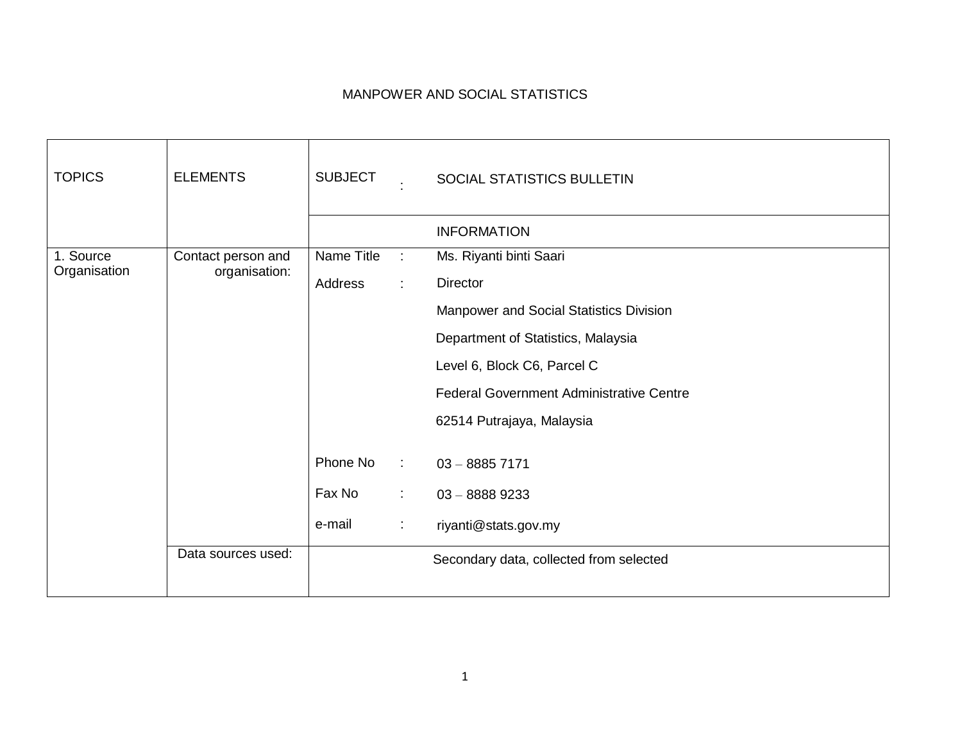## MANPOWER AND SOCIAL STATISTICS

| <b>TOPICS</b>             | <b>ELEMENTS</b>                     | <b>SUBJECT</b> |                            | SOCIAL STATISTICS BULLETIN                      |
|---------------------------|-------------------------------------|----------------|----------------------------|-------------------------------------------------|
|                           |                                     |                |                            | <b>INFORMATION</b>                              |
| 1. Source<br>Organisation | Contact person and<br>organisation: | Name Title     | $\mathbb{R}^2$             | Ms. Riyanti binti Saari                         |
|                           |                                     | Address        | ÷.                         | <b>Director</b>                                 |
|                           |                                     |                |                            | Manpower and Social Statistics Division         |
|                           |                                     |                |                            | Department of Statistics, Malaysia              |
|                           |                                     |                |                            | Level 6, Block C6, Parcel C                     |
|                           |                                     |                |                            | <b>Federal Government Administrative Centre</b> |
|                           |                                     |                |                            | 62514 Putrajaya, Malaysia                       |
|                           |                                     |                |                            |                                                 |
|                           |                                     | Phone No       | $\mathcal{L}^{\text{max}}$ | $03 - 88857171$                                 |
|                           |                                     | Fax No         | ÷.                         | $03 - 88889233$                                 |
|                           |                                     | e-mail         | $\mathbb{Z}^n$             | riyanti@stats.gov.my                            |
|                           | Data sources used:                  |                |                            | Secondary data, collected from selected         |
|                           |                                     |                |                            |                                                 |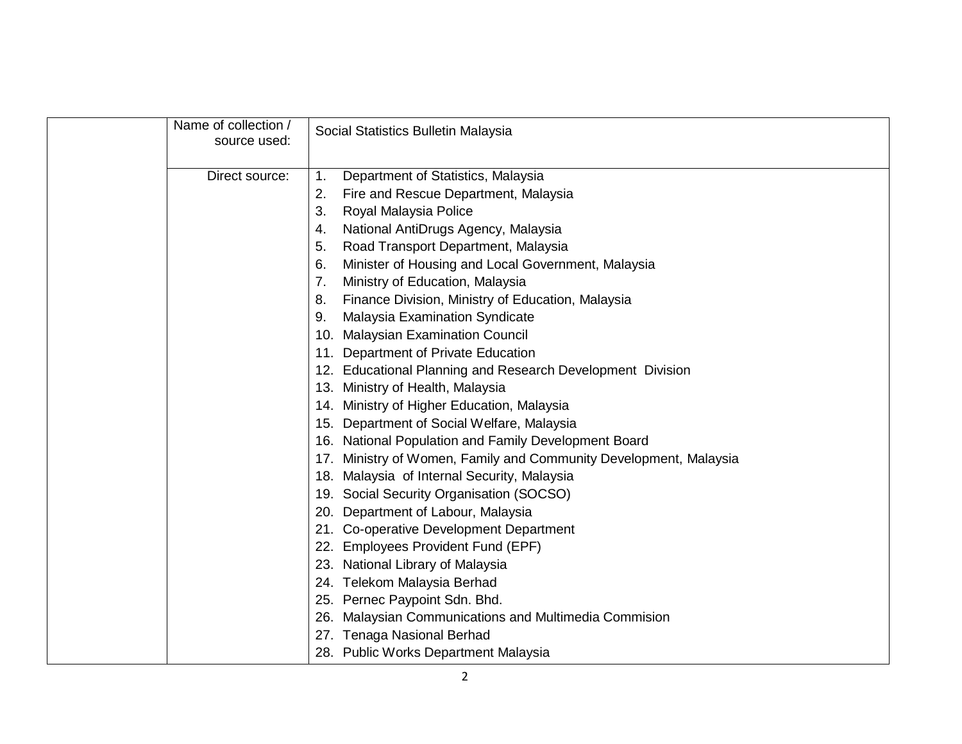| Name of collection /<br>source used: |     | Social Statistics Bulletin Malaysia                               |
|--------------------------------------|-----|-------------------------------------------------------------------|
| Direct source:                       | 1.  | Department of Statistics, Malaysia                                |
|                                      | 2.  | Fire and Rescue Department, Malaysia                              |
|                                      | 3.  | Royal Malaysia Police                                             |
|                                      | 4.  | National AntiDrugs Agency, Malaysia                               |
|                                      | 5.  | Road Transport Department, Malaysia                               |
|                                      | 6.  | Minister of Housing and Local Government, Malaysia                |
|                                      | 7.  | Ministry of Education, Malaysia                                   |
|                                      | 8.  | Finance Division, Ministry of Education, Malaysia                 |
|                                      | 9.  | <b>Malaysia Examination Syndicate</b>                             |
|                                      |     | 10. Malaysian Examination Council                                 |
|                                      | 11. | Department of Private Education                                   |
|                                      |     | 12. Educational Planning and Research Development Division        |
|                                      |     | 13. Ministry of Health, Malaysia                                  |
|                                      |     | 14. Ministry of Higher Education, Malaysia                        |
|                                      | 15. | Department of Social Welfare, Malaysia                            |
|                                      | 16. | National Population and Family Development Board                  |
|                                      |     | 17. Ministry of Women, Family and Community Development, Malaysia |
|                                      |     | 18. Malaysia of Internal Security, Malaysia                       |
|                                      |     | 19. Social Security Organisation (SOCSO)                          |
|                                      | 20. | Department of Labour, Malaysia                                    |
|                                      |     | 21. Co-operative Development Department                           |
|                                      |     | 22. Employees Provident Fund (EPF)                                |
|                                      |     | 23. National Library of Malaysia                                  |
|                                      |     | 24. Telekom Malaysia Berhad                                       |
|                                      |     | 25. Pernec Paypoint Sdn. Bhd.                                     |
|                                      | 26. | Malaysian Communications and Multimedia Commision                 |
|                                      |     | 27. Tenaga Nasional Berhad                                        |
|                                      |     | 28. Public Works Department Malaysia                              |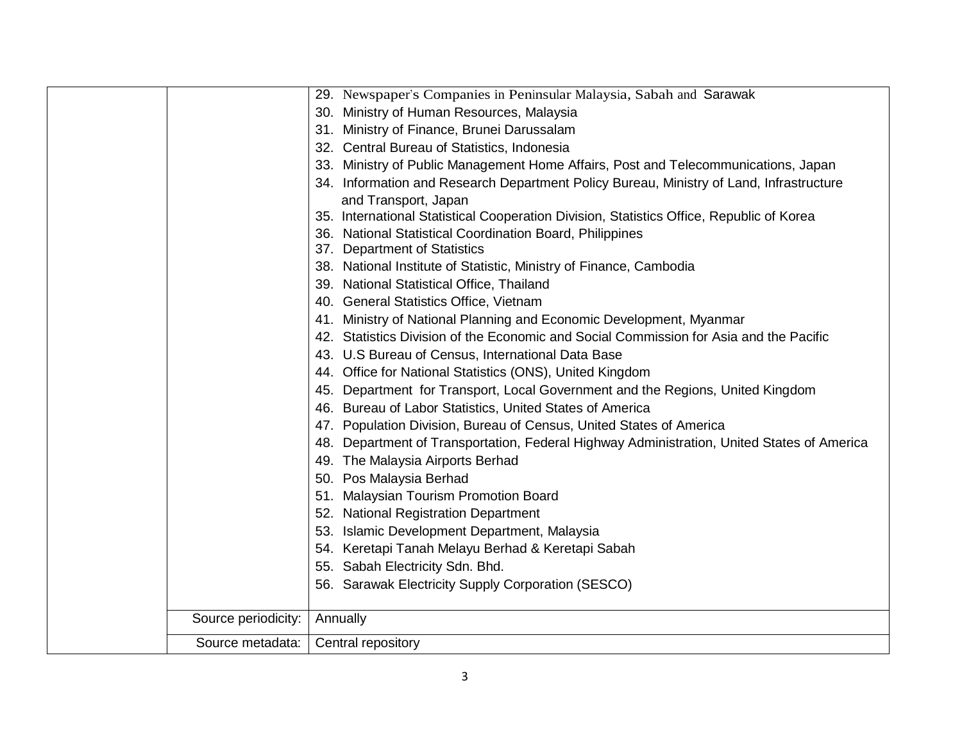|                     | 29. Newspaper's Companies in Peninsular Malaysia, Sabah and Sarawak                           |
|---------------------|-----------------------------------------------------------------------------------------------|
|                     | 30. Ministry of Human Resources, Malaysia                                                     |
|                     | 31. Ministry of Finance, Brunei Darussalam                                                    |
|                     | 32. Central Bureau of Statistics, Indonesia                                                   |
|                     | 33. Ministry of Public Management Home Affairs, Post and Telecommunications, Japan            |
|                     | 34. Information and Research Department Policy Bureau, Ministry of Land, Infrastructure       |
|                     | and Transport, Japan                                                                          |
|                     | 35. International Statistical Cooperation Division, Statistics Office, Republic of Korea      |
|                     | 36. National Statistical Coordination Board, Philippines                                      |
|                     | 37. Department of Statistics                                                                  |
|                     | 38. National Institute of Statistic, Ministry of Finance, Cambodia                            |
|                     | 39. National Statistical Office, Thailand                                                     |
|                     | 40. General Statistics Office, Vietnam                                                        |
|                     | 41. Ministry of National Planning and Economic Development, Myanmar                           |
|                     | 42. Statistics Division of the Economic and Social Commission for Asia and the Pacific        |
|                     | 43. U.S Bureau of Census, International Data Base                                             |
|                     | 44. Office for National Statistics (ONS), United Kingdom                                      |
|                     | Department for Transport, Local Government and the Regions, United Kingdom<br>45.             |
|                     | 46. Bureau of Labor Statistics, United States of America                                      |
|                     | 47. Population Division, Bureau of Census, United States of America                           |
|                     | Department of Transportation, Federal Highway Administration, United States of America<br>48. |
|                     | 49. The Malaysia Airports Berhad                                                              |
|                     | 50. Pos Malaysia Berhad                                                                       |
|                     | 51. Malaysian Tourism Promotion Board                                                         |
|                     | 52. National Registration Department                                                          |
|                     | 53. Islamic Development Department, Malaysia                                                  |
|                     | 54. Keretapi Tanah Melayu Berhad & Keretapi Sabah                                             |
|                     | 55. Sabah Electricity Sdn. Bhd.                                                               |
|                     | 56. Sarawak Electricity Supply Corporation (SESCO)                                            |
|                     |                                                                                               |
| Source periodicity: | Annually                                                                                      |
| Source metadata:    | Central repository                                                                            |
|                     |                                                                                               |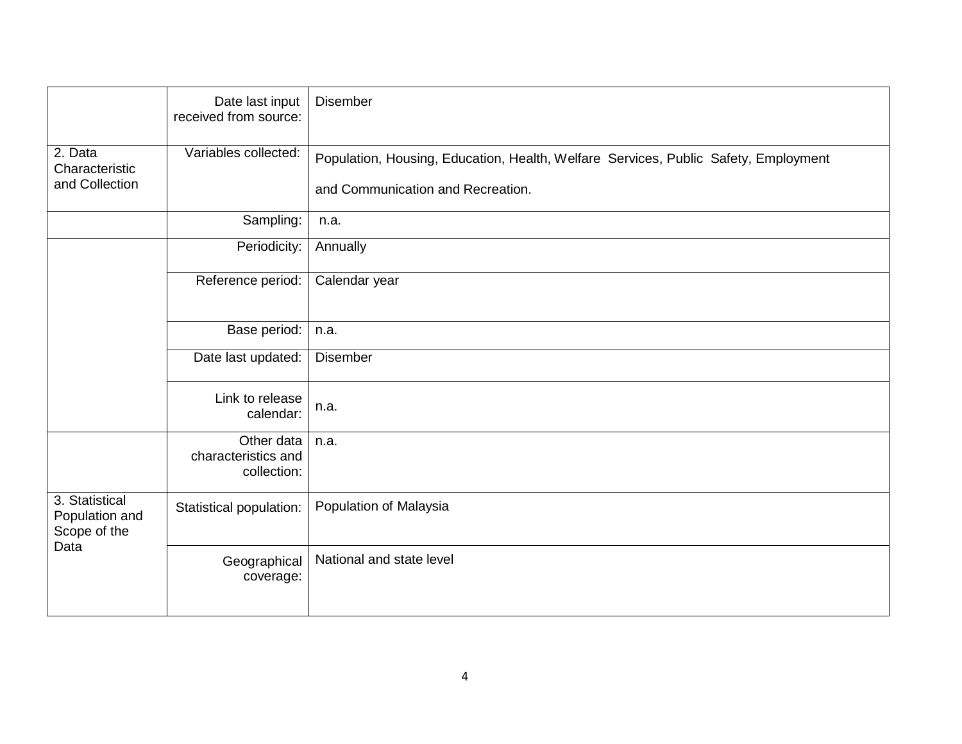|                                                          | Date last input<br>received from source:         | <b>Disember</b>                                                                                                          |
|----------------------------------------------------------|--------------------------------------------------|--------------------------------------------------------------------------------------------------------------------------|
| 2. Data<br>Characteristic<br>and Collection              | Variables collected:                             | Population, Housing, Education, Health, Welfare Services, Public Safety, Employment<br>and Communication and Recreation. |
|                                                          | Sampling:                                        | n.a.                                                                                                                     |
|                                                          | Periodicity:                                     | Annually                                                                                                                 |
|                                                          | Reference period:                                | Calendar year                                                                                                            |
|                                                          | Base period:                                     | n.a.                                                                                                                     |
|                                                          | Date last updated:                               | <b>Disember</b>                                                                                                          |
|                                                          | Link to release<br>calendar:                     | n.a.                                                                                                                     |
|                                                          | Other data<br>characteristics and<br>collection: | n.a.                                                                                                                     |
| 3. Statistical<br>Population and<br>Scope of the<br>Data | Statistical population:                          | Population of Malaysia                                                                                                   |
|                                                          | Geographical<br>coverage:                        | National and state level                                                                                                 |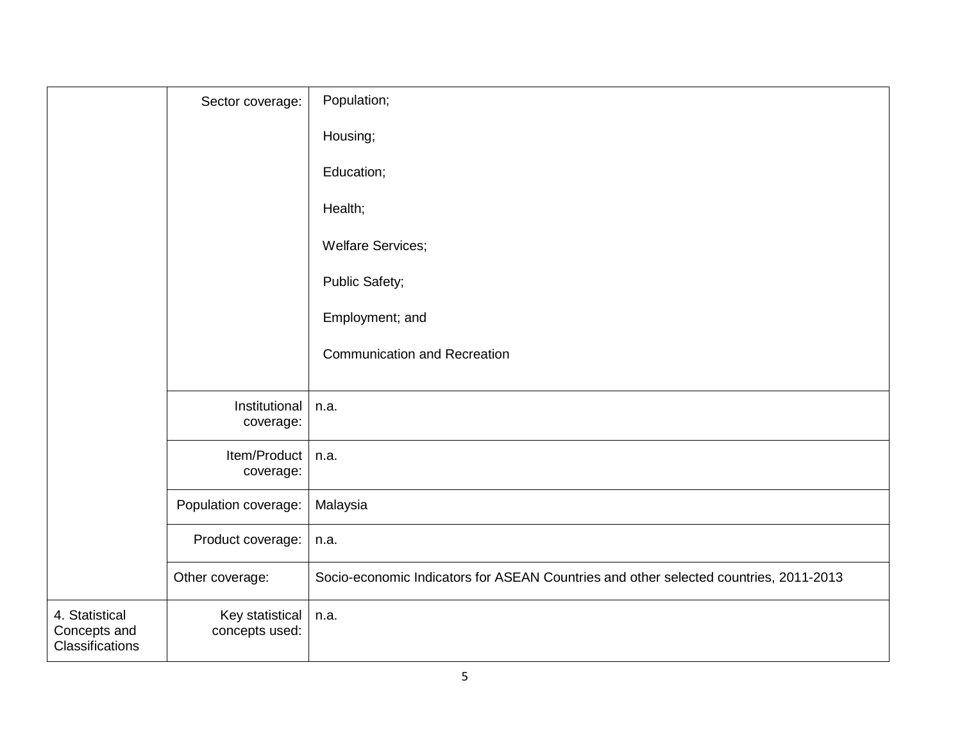|                                                   | Sector coverage:                  | Population;                                                                           |
|---------------------------------------------------|-----------------------------------|---------------------------------------------------------------------------------------|
|                                                   |                                   | Housing;                                                                              |
|                                                   |                                   | Education;                                                                            |
|                                                   |                                   | Health;                                                                               |
|                                                   |                                   | <b>Welfare Services;</b>                                                              |
|                                                   |                                   | Public Safety;                                                                        |
|                                                   |                                   | Employment; and                                                                       |
|                                                   |                                   | <b>Communication and Recreation</b>                                                   |
|                                                   |                                   |                                                                                       |
|                                                   | Institutional<br>coverage:        | n.a.                                                                                  |
|                                                   | Item/Product<br>coverage:         | n.a.                                                                                  |
|                                                   | Population coverage:              | Malaysia                                                                              |
|                                                   | Product coverage:                 | n.a.                                                                                  |
|                                                   | Other coverage:                   | Socio-economic Indicators for ASEAN Countries and other selected countries, 2011-2013 |
| 4. Statistical<br>Concepts and<br>Classifications | Key statistical<br>concepts used: | n.a.                                                                                  |